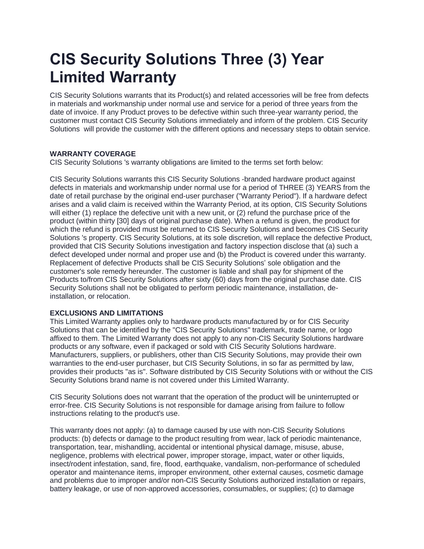# **CIS Security Solutions Three (3) Year Limited Warranty**

CIS Security Solutions warrants that its Product(s) and related accessories will be free from defects in materials and workmanship under normal use and service for a period of three years from the date of invoice. If any Product proves to be defective within such three-year warranty period, the customer must contact CIS Security Solutions immediately and inform of the problem. CIS Security Solutions will provide the customer with the different options and necessary steps to obtain service.

## **WARRANTY COVERAGE**

CIS Security Solutions 's warranty obligations are limited to the terms set forth below:

CIS Security Solutions warrants this CIS Security Solutions -branded hardware product against defects in materials and workmanship under normal use for a period of THREE (3) YEARS from the date of retail purchase by the original end-user purchaser ("Warranty Period"). If a hardware defect arises and a valid claim is received within the Warranty Period, at its option, CIS Security Solutions will either (1) replace the defective unit with a new unit, or (2) refund the purchase price of the product (within thirty [30] days of original purchase date). When a refund is given, the product for which the refund is provided must be returned to CIS Security Solutions and becomes CIS Security Solutions 's property. CIS Security Solutions, at its sole discretion, will replace the defective Product, provided that CIS Security Solutions investigation and factory inspection disclose that (a) such a defect developed under normal and proper use and (b) the Product is covered under this warranty. Replacement of defective Products shall be CIS Security Solutions' sole obligation and the customer's sole remedy hereunder. The customer is liable and shall pay for shipment of the Products to/from CIS Security Solutions after sixty (60) days from the original purchase date. CIS Security Solutions shall not be obligated to perform periodic maintenance, installation, deinstallation, or relocation.

# **EXCLUSIONS AND LIMITATIONS**

This Limited Warranty applies only to hardware products manufactured by or for CIS Security Solutions that can be identified by the "CIS Security Solutions" trademark, trade name, or logo affixed to them. The Limited Warranty does not apply to any non-CIS Security Solutions hardware products or any software, even if packaged or sold with CIS Security Solutions hardware. Manufacturers, suppliers, or publishers, other than CIS Security Solutions, may provide their own warranties to the end-user purchaser, but CIS Security Solutions, in so far as permitted by law, provides their products "as is". Software distributed by CIS Security Solutions with or without the CIS Security Solutions brand name is not covered under this Limited Warranty.

CIS Security Solutions does not warrant that the operation of the product will be uninterrupted or error-free. CIS Security Solutions is not responsible for damage arising from failure to follow instructions relating to the product's use.

This warranty does not apply: (a) to damage caused by use with non-CIS Security Solutions products: (b) defects or damage to the product resulting from wear, lack of periodic maintenance, transportation, tear, mishandling, accidental or intentional physical damage, misuse, abuse, negligence, problems with electrical power, improper storage, impact, water or other liquids, insect/rodent infestation, sand, fire, flood, earthquake, vandalism, non-performance of scheduled operator and maintenance items, improper environment, other external causes, cosmetic damage and problems due to improper and/or non-CIS Security Solutions authorized installation or repairs, battery leakage, or use of non-approved accessories, consumables, or supplies; (c) to damage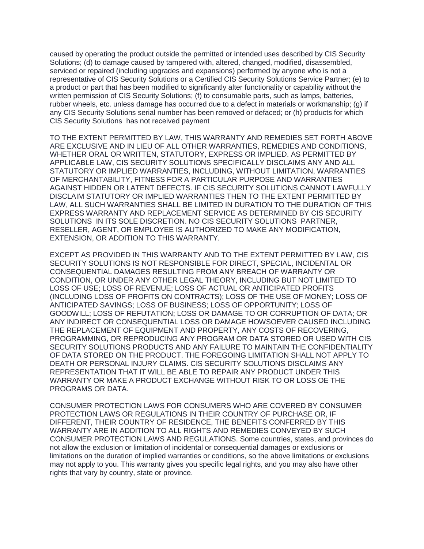caused by operating the product outside the permitted or intended uses described by CIS Security Solutions; (d) to damage caused by tampered with, altered, changed, modified, disassembled, serviced or repaired (including upgrades and expansions) performed by anyone who is not a representative of CIS Security Solutions or a Certified CIS Security Solutions Service Partner; (e) to a product or part that has been modified to significantly alter functionality or capability without the written permission of CIS Security Solutions; (f) to consumable parts, such as lamps, batteries, rubber wheels, etc. unless damage has occurred due to a defect in materials or workmanship; (g) if any CIS Security Solutions serial number has been removed or defaced; or (h) products for which CIS Security Solutions has not received payment

TO THE EXTENT PERMITTED BY LAW, THIS WARRANTY AND REMEDIES SET FORTH ABOVE ARE EXCLUSIVE AND IN LIEU OF ALL OTHER WARRANTIES, REMEDIES AND CONDITIONS, WHETHER ORAL OR WRITTEN, STATUTORY, EXPRESS OR IMPLIED. AS PERMITTED BY APPLICABLE LAW, CIS SECURITY SOLUTIONS SPECIFICALLY DISCLAIMS ANY AND ALL STATUTORY OR IMPLIED WARRANTIES, INCLUDING, WITHOUT LIMITATION, WARRANTIES OF MERCHANTABILITY, FITNESS FOR A PARTICULAR PURPOSE AND WARRANTIES AGAINST HIDDEN OR LATENT DEFECTS. IF CIS SECURITY SOLUTIONS CANNOT LAWFULLY DISCLAIM STATUTORY OR IMPLIED WARRANTIES THEN TO THE EXTENT PERMITTED BY LAW, ALL SUCH WARRANTIES SHALL BE LIMITED IN DURATION TO THE DURATION OF THIS EXPRESS WARRANTY AND REPLACEMENT SERVICE AS DETERMINED BY CIS SECURITY SOLUTIONS IN ITS SOLE DISCRETION. NO CIS SECURITY SOLUTIONS PARTNER, RESELLER, AGENT, OR EMPLOYEE IS AUTHORIZED TO MAKE ANY MODIFICATION, EXTENSION, OR ADDITION TO THIS WARRANTY.

EXCEPT AS PROVIDED IN THIS WARRANTY AND TO THE EXTENT PERMITTED BY LAW, CIS SECURITY SOLUTIONS IS NOT RESPONSIBLE FOR DIRECT, SPECIAL, INCIDENTAL OR CONSEQUENTIAL DAMAGES RESULTING FROM ANY BREACH OF WARRANTY OR CONDITION, OR UNDER ANY OTHER LEGAL THEORY, INCLUDING BUT NOT LIMITED TO LOSS OF USE; LOSS OF REVENUE; LOSS OF ACTUAL OR ANTICIPATED PROFITS (INCLUDING LOSS OF PROFITS ON CONTRACTS); LOSS OF THE USE OF MONEY; LOSS OF ANTICIPATED SAVINGS; LOSS OF BUSINESS; LOSS OF OPPORTUNITY; LOSS OF GOODWILL; LOSS OF REFUTATION; LOSS OR DAMAGE TO OR CORRUPTION OF DATA; OR ANY INDIRECT OR CONSEQUENTIAL LOSS OR DAMAGE HOWSOEVER CAUSED INCLUDING THE REPLACEMENT OF EQUIPMENT AND PROPERTY, ANY COSTS OF RECOVERING, PROGRAMMING, OR REPRODUCING ANY PROGRAM OR DATA STORED OR USED WITH CIS SECURITY SOLUTIONS PRODUCTS AND ANY FAILURE TO MAINTAIN THE CONFIDENTIALITY OF DATA STORED ON THE PRODUCT. THE FOREGOING LIMITATION SHALL NOT APPLY TO DEATH OR PERSONAL INJURY CLAIMS. CIS SECURITY SOLUTIONS DISCLAIMS ANY REPRESENTATION THAT IT WILL BE ABLE TO REPAIR ANY PRODUCT UNDER THIS WARRANTY OR MAKE A PRODUCT EXCHANGE WITHOUT RISK TO OR LOSS OE THE PROGRAMS OR DATA.

CONSUMER PROTECTION LAWS FOR CONSUMERS WHO ARE COVERED BY CONSUMER PROTECTION LAWS OR REGULATIONS IN THEIR COUNTRY OF PURCHASE OR, IF DIFFERENT, THEIR COUNTRY OF RESIDENCE, THE BENEFITS CONFERRED BY THIS WARRANTY ARE IN ADDITION TO ALL RIGHTS AND REMEDIES CONVEYED BY SUCH CONSUMER PROTECTION LAWS AND REGULATIONS. Some countries, states, and provinces do not allow the exclusion or limitation of incidental or consequential damages or exclusions or limitations on the duration of implied warranties or conditions, so the above limitations or exclusions may not apply to you. This warranty gives you specific legal rights, and you may also have other rights that vary by country, state or province.